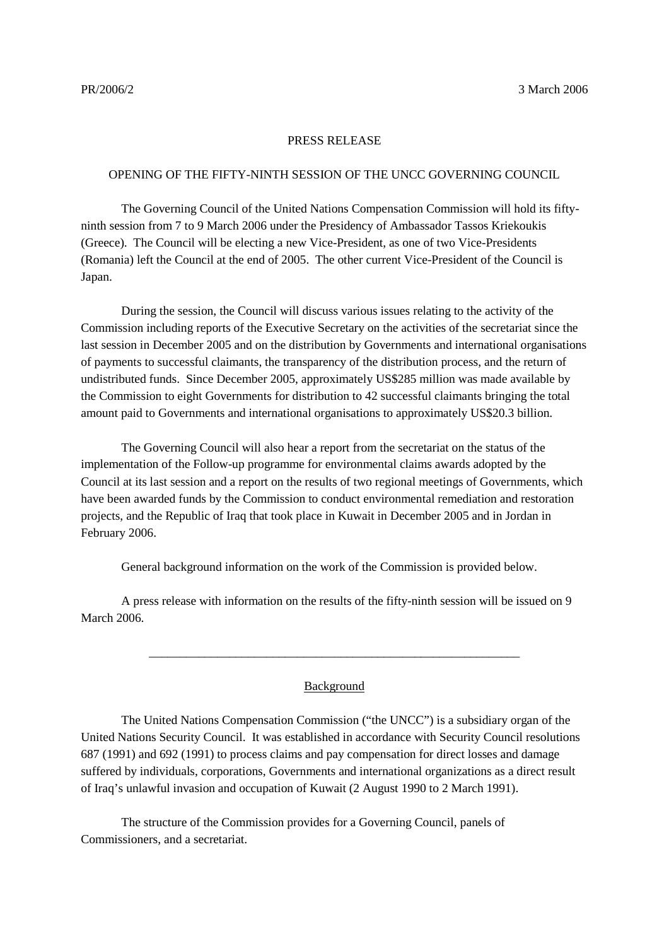## PRESS RELEASE

## OPENING OF THE FIFTY-NINTH SESSION OF THE UNCC GOVERNING COUNCIL

The Governing Council of the United Nations Compensation Commission will hold its fiftyninth session from 7 to 9 March 2006 under the Presidency of Ambassador Tassos Kriekoukis (Greece). The Council will be electing a new Vice-President, as one of two Vice-Presidents (Romania) left the Council at the end of 2005. The other current Vice-President of the Council is Japan.

During the session, the Council will discuss various issues relating to the activity of the Commission including reports of the Executive Secretary on the activities of the secretariat since the last session in December 2005 and on the distribution by Governments and international organisations of payments to successful claimants, the transparency of the distribution process, and the return of undistributed funds. Since December 2005, approximately US\$285 million was made available by the Commission to eight Governments for distribution to 42 successful claimants bringing the total amount paid to Governments and international organisations to approximately US\$20.3 billion.

The Governing Council will also hear a report from the secretariat on the status of the implementation of the Follow-up programme for environmental claims awards adopted by the Council at its last session and a report on the results of two regional meetings of Governments, which have been awarded funds by the Commission to conduct environmental remediation and restoration projects, and the Republic of Iraq that took place in Kuwait in December 2005 and in Jordan in February 2006.

General background information on the work of the Commission is provided below.

A press release with information on the results of the fifty-ninth session will be issued on 9 March 2006.

## Background

\_\_\_\_\_\_\_\_\_\_\_\_\_\_\_\_\_\_\_\_\_\_\_\_\_\_\_\_\_\_\_\_\_\_\_\_\_\_\_\_\_\_\_\_\_\_\_\_\_\_\_\_\_\_\_\_\_\_\_\_

The United Nations Compensation Commission ("the UNCC") is a subsidiary organ of the United Nations Security Council. It was established in accordance with Security Council resolutions 687 (1991) and 692 (1991) to process claims and pay compensation for direct losses and damage suffered by individuals, corporations, Governments and international organizations as a direct result of Iraq's unlawful invasion and occupation of Kuwait (2 August 1990 to 2 March 1991).

The structure of the Commission provides for a Governing Council, panels of Commissioners, and a secretariat.